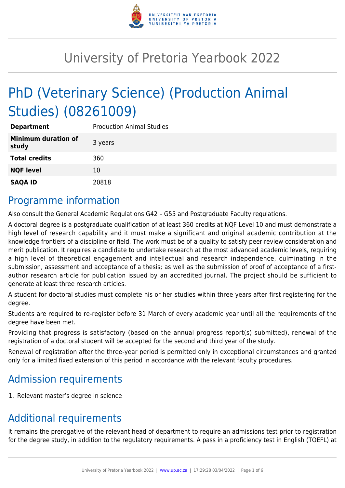

# University of Pretoria Yearbook 2022

# PhD (Veterinary Science) (Production Animal Studies) (08261009)

| <b>Department</b>                   | <b>Production Animal Studies</b> |
|-------------------------------------|----------------------------------|
| <b>Minimum duration of</b><br>study | 3 years                          |
| <b>Total credits</b>                | 360                              |
| <b>NQF level</b>                    | 10                               |
| <b>SAQA ID</b>                      | 20818                            |

#### Programme information

Also consult the General Academic Regulations G42 – G55 and Postgraduate Faculty regulations.

A doctoral degree is a postgraduate qualification of at least 360 credits at NQF Level 10 and must demonstrate a high level of research capability and it must make a significant and original academic contribution at the knowledge frontiers of a discipline or field. The work must be of a quality to satisfy peer review consideration and merit publication. It requires a candidate to undertake research at the most advanced academic levels, requiring a high level of theoretical engagement and intellectual and research independence, culminating in the submission, assessment and acceptance of a thesis; as well as the submission of proof of acceptance of a firstauthor research article for publication issued by an accredited journal. The project should be sufficient to generate at least three research articles.

A student for doctoral studies must complete his or her studies within three years after first registering for the degree.

Students are required to re-register before 31 March of every academic year until all the requirements of the degree have been met.

Providing that progress is satisfactory (based on the annual progress report(s) submitted), renewal of the registration of a doctoral student will be accepted for the second and third year of the study.

Renewal of registration after the three-year period is permitted only in exceptional circumstances and granted only for a limited fixed extension of this period in accordance with the relevant faculty procedures.

## Admission requirements

1. Relevant master's degree in science

## Additional requirements

It remains the prerogative of the relevant head of department to require an admissions test prior to registration for the degree study, in addition to the regulatory requirements. A pass in a proficiency test in English (TOEFL) at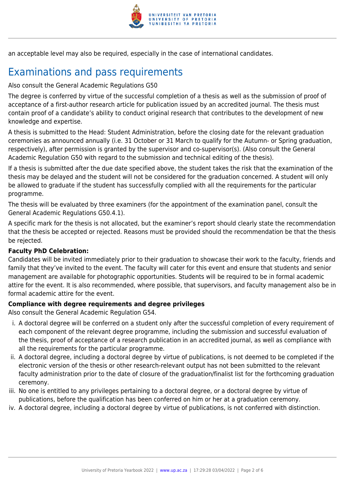

an acceptable level may also be required, especially in the case of international candidates.

# Examinations and pass requirements

Also consult the General Academic Regulations G50

The degree is conferred by virtue of the successful completion of a thesis as well as the submission of proof of acceptance of a first-author research article for publication issued by an accredited journal. The thesis must contain proof of a candidate's ability to conduct original research that contributes to the development of new knowledge and expertise.

A thesis is submitted to the Head: Student Administration, before the closing date for the relevant graduation ceremonies as announced annually (i.e. 31 October or 31 March to qualify for the Autumn- or Spring graduation, respectively), after permission is granted by the supervisor and co-supervisor(s). (Also consult the General Academic Regulation G50 with regard to the submission and technical editing of the thesis).

If a thesis is submitted after the due date specified above, the student takes the risk that the examination of the thesis may be delayed and the student will not be considered for the graduation concerned. A student will only be allowed to graduate if the student has successfully complied with all the requirements for the particular programme.

The thesis will be evaluated by three examiners (for the appointment of the examination panel, consult the General Academic Regulations G50.4.1).

A specific mark for the thesis is not allocated, but the examiner's report should clearly state the recommendation that the thesis be accepted or rejected. Reasons must be provided should the recommendation be that the thesis be rejected.

#### **Faculty PhD Celebration:**

Candidates will be invited immediately prior to their graduation to showcase their work to the faculty, friends and family that they've invited to the event. The faculty will cater for this event and ensure that students and senior management are available for photographic opportunities. Students will be required to be in formal academic attire for the event. It is also recommended, where possible, that supervisors, and faculty management also be in formal academic attire for the event.

#### **Compliance with degree requirements and degree privileges**

Also consult the General Academic Regulation G54.

- i. A doctoral degree will be conferred on a student only after the successful completion of every requirement of each component of the relevant degree programme, including the submission and successful evaluation of the thesis, proof of acceptance of a research publication in an accredited journal, as well as compliance with all the requirements for the particular programme.
- ii. A doctoral degree, including a doctoral degree by virtue of publications, is not deemed to be completed if the electronic version of the thesis or other research-relevant output has not been submitted to the relevant faculty administration prior to the date of closure of the graduation/finalist list for the forthcoming graduation ceremony.
- iii. No one is entitled to any privileges pertaining to a doctoral degree, or a doctoral degree by virtue of publications, before the qualification has been conferred on him or her at a graduation ceremony.
- iv. A doctoral degree, including a doctoral degree by virtue of publications, is not conferred with distinction.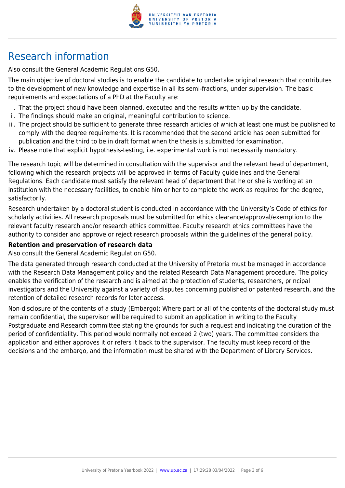

# Research information

Also consult the General Academic Regulations G50.

The main objective of doctoral studies is to enable the candidate to undertake original research that contributes to the development of new knowledge and expertise in all its semi-fractions, under supervision. The basic requirements and expectations of a PhD at the Faculty are:

- i. That the project should have been planned, executed and the results written up by the candidate.
- ii. The findings should make an original, meaningful contribution to science.
- iii. The project should be sufficient to generate three research articles of which at least one must be published to comply with the degree requirements. It is recommended that the second article has been submitted for publication and the third to be in draft format when the thesis is submitted for examination.
- iv. Please note that explicit hypothesis-testing, i.e. experimental work is not necessarily mandatory.

The research topic will be determined in consultation with the supervisor and the relevant head of department, following which the research projects will be approved in terms of Faculty guidelines and the General Regulations. Each candidate must satisfy the relevant head of department that he or she is working at an institution with the necessary facilities, to enable him or her to complete the work as required for the degree, satisfactorily.

Research undertaken by a doctoral student is conducted in accordance with the University's Code of ethics for scholarly activities. All research proposals must be submitted for ethics clearance/approval/exemption to the relevant faculty research and/or research ethics committee. Faculty research ethics committees have the authority to consider and approve or reject research proposals within the guidelines of the general policy.

#### **Retention and preservation of research data**

Also consult the General Academic Regulation G50.

The data generated through research conducted at the University of Pretoria must be managed in accordance with the Research Data Management policy and the related Research Data Management procedure. The policy enables the verification of the research and is aimed at the protection of students, researchers, principal investigators and the University against a variety of disputes concerning published or patented research, and the retention of detailed research records for later access.

Non-disclosure of the contents of a study (Embargo): Where part or all of the contents of the doctoral study must remain confidential, the supervisor will be required to submit an application in writing to the Faculty Postgraduate and Research committee stating the grounds for such a request and indicating the duration of the period of confidentiality. This period would normally not exceed 2 (two) years. The committee considers the application and either approves it or refers it back to the supervisor. The faculty must keep record of the decisions and the embargo, and the information must be shared with the Department of Library Services.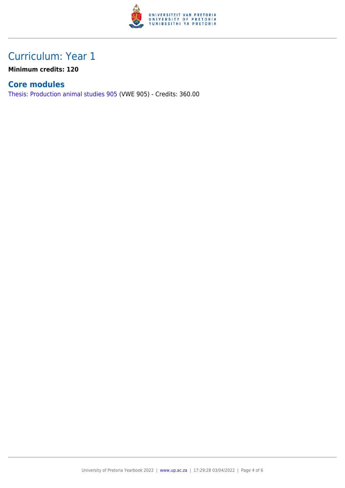

### Curriculum: Year 1

**Minimum credits: 120**

#### **Core modules**

[Thesis: Production animal studies 905](https://www.up.ac.za/mechanical-and-aeronautical-engineering/yearbooks/2022/modules/view/VWE 905) (VWE 905) - Credits: 360.00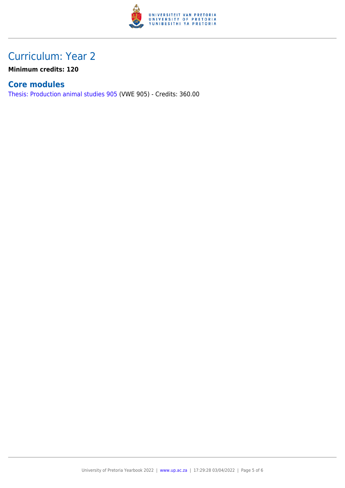

### Curriculum: Year 2

**Minimum credits: 120**

#### **Core modules**

[Thesis: Production animal studies 905](https://www.up.ac.za/mechanical-and-aeronautical-engineering/yearbooks/2022/modules/view/VWE 905) (VWE 905) - Credits: 360.00